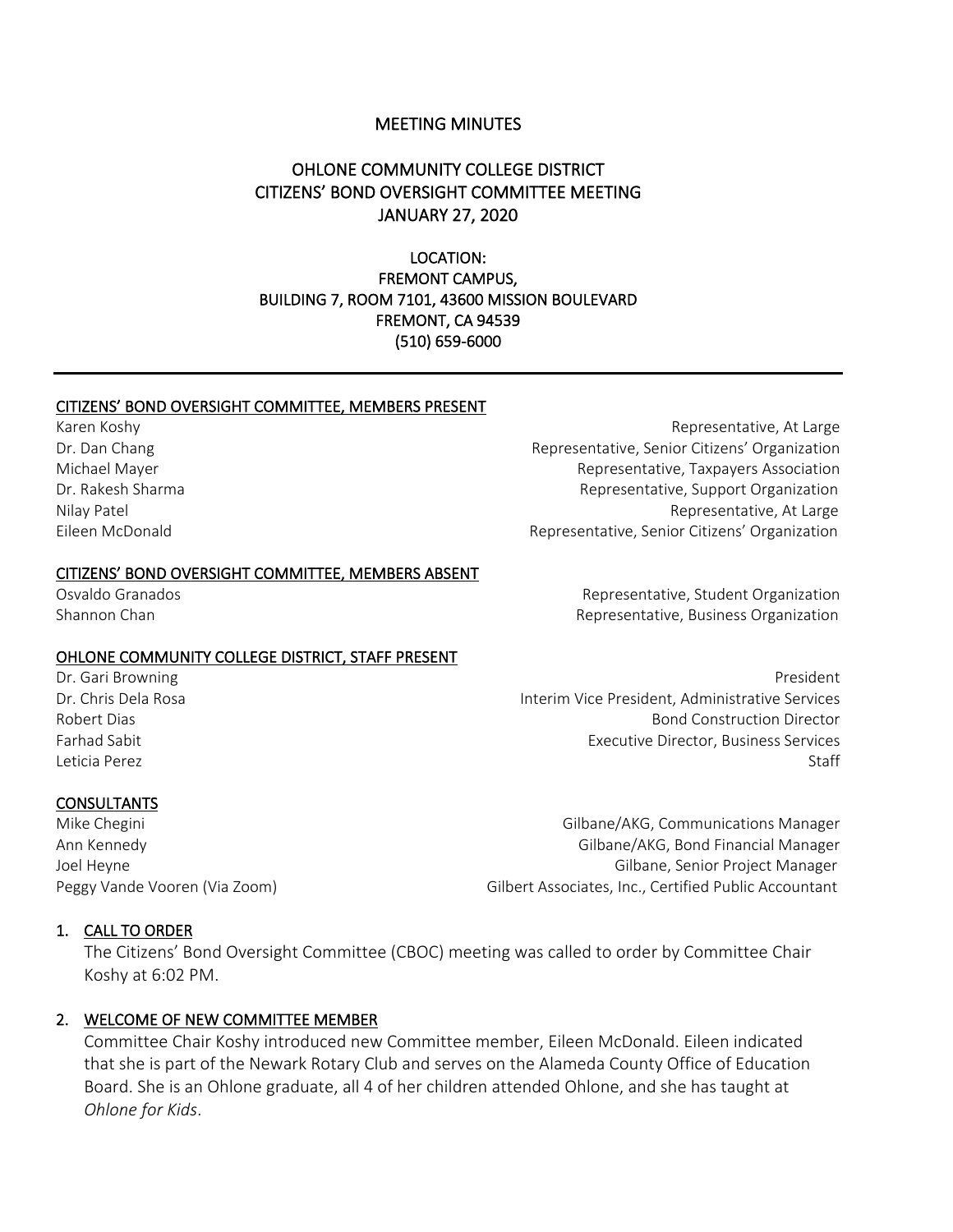#### MEETING MINUTES

# OHLONE COMMUNITY COLLEGE DISTRICT CITIZENS' BOND OVERSIGHT COMMITTEE MEETING JANUARY 27, 2020

LOCATION: FREMONT CAMPUS, BUILDING 7, ROOM 7101, 43600 MISSION BOULEVARD FREMONT, CA 94539 (510) 659-6000

#### CITIZENS' BOND OVERSIGHT COMMITTEE, MEMBERS PRESENT

#### CITIZENS' BOND OVERSIGHT COMMITTEE, MEMBERS ABSENT

#### OHLONE COMMUNITY COLLEGE DISTRICT, STAFF PRESENT

#### **CONSULTANTS**

Dr. Gari Browning President Communication of the Communication of the President President President Dr. Chris Dela Rosa Interim Vice President, Administrative Services Robert Dias Bond Construction Director Farhad Sabit Executive Director, Business Services Leticia Perez Staff

Mike Chegini Gilbane/AKG, Communications Manager Ann Kennedy Gilbane/AKG, Bond Financial Manager Joel Heyne Gilbane, Senior Project Manager Peggy Vande Vooren (Via Zoom) Commence Controller Controller Associates, Inc., Certified Public Accountant

#### 1. CALL TO ORDER

The Citizens' Bond Oversight Committee (CBOC) meeting was called to order by Committee Chair Koshy at 6:02 PM.

#### 2. WELCOME OF NEW COMMITTEE MEMBER

Committee Chair Koshy introduced new Committee member, Eileen McDonald. Eileen indicated that she is part of the Newark Rotary Club and serves on the Alameda County Office of Education Board. She is an Ohlone graduate, all 4 of her children attended Ohlone, and she has taught at *Ohlone for Kids*.

Karen Koshy **Representative, At Large** Dr. Dan Chang Representative, Senior Citizens' Organization Michael Mayer Representative, Taxpayers Association Dr. Rakesh Sharma Representative, Support Organization Nilay Patel Representative, At Large Eileen McDonald Representative, Senior Citizens' Organization

Osvaldo Granados Representative, Student Organization Shannon Chan Representative, Business Organization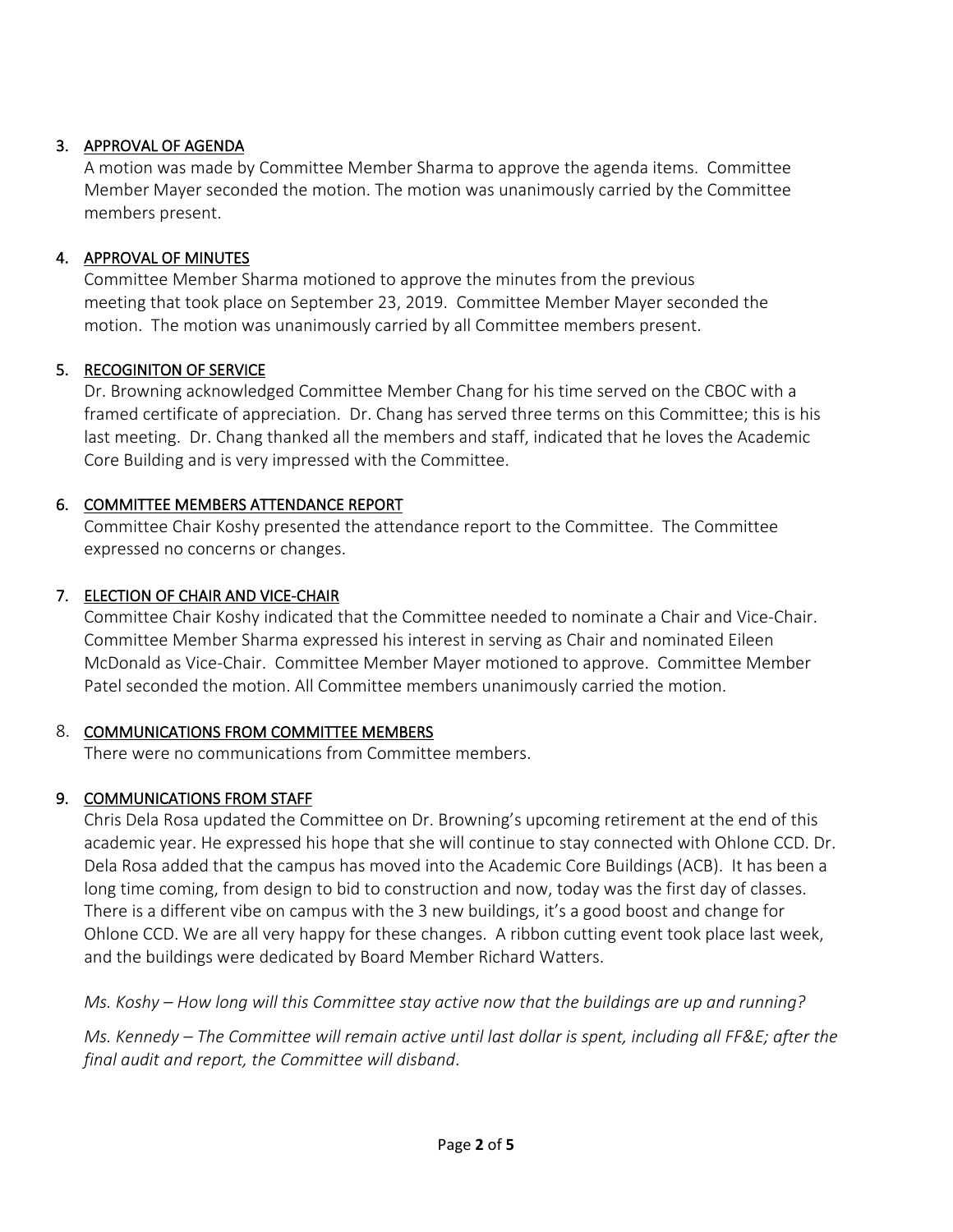## 3. APPROVAL OF AGENDA

A motion was made by Committee Member Sharma to approve the agenda items. Committee Member Mayer seconded the motion. The motion was unanimously carried by the Committee members present.

## 4. APPROVAL OF MINUTES

Committee Member Sharma motioned to approve the minutes from the previous meeting that took place on September 23, 2019. Committee Member Mayer seconded the motion. The motion was unanimously carried by all Committee members present.

# 5. RECOGINITON OF SERVICE

Dr. Browning acknowledged Committee Member Chang for his time served on the CBOC with a framed certificate of appreciation. Dr. Chang has served three terms on this Committee; this is his last meeting. Dr. Chang thanked all the members and staff, indicated that he loves the Academic Core Building and is very impressed with the Committee.

# 6. COMMITTEE MEMBERS ATTENDANCE REPORT

Committee Chair Koshy presented the attendance report to the Committee. The Committee expressed no concerns or changes.

# 7. ELECTION OF CHAIR AND VICE-CHAIR

Committee Chair Koshy indicated that the Committee needed to nominate a Chair and Vice-Chair. Committee Member Sharma expressed his interest in serving as Chair and nominated Eileen McDonald as Vice-Chair. Committee Member Mayer motioned to approve. Committee Member Patel seconded the motion. All Committee members unanimously carried the motion.

## 8. COMMUNICATIONS FROM COMMITTEE MEMBERS

There were no communications from Committee members.

# 9. COMMUNICATIONS FROM STAFF

Chris Dela Rosa updated the Committee on Dr. Browning's upcoming retirement at the end of this academic year. He expressed his hope that she will continue to stay connected with Ohlone CCD. Dr. Dela Rosa added that the campus has moved into the Academic Core Buildings (ACB). It has been a long time coming, from design to bid to construction and now, today was the first day of classes. There is a different vibe on campus with the 3 new buildings, it's a good boost and change for Ohlone CCD. We are all very happy for these changes. A ribbon cutting event took place last week, and the buildings were dedicated by Board Member Richard Watters.

*Ms. Koshy – How long will this Committee stay active now that the buildings are up and running?*

*Ms. Kennedy – The Committee will remain active until last dollar is spent, including all FF&E; after the final audit and report, the Committee will disband*.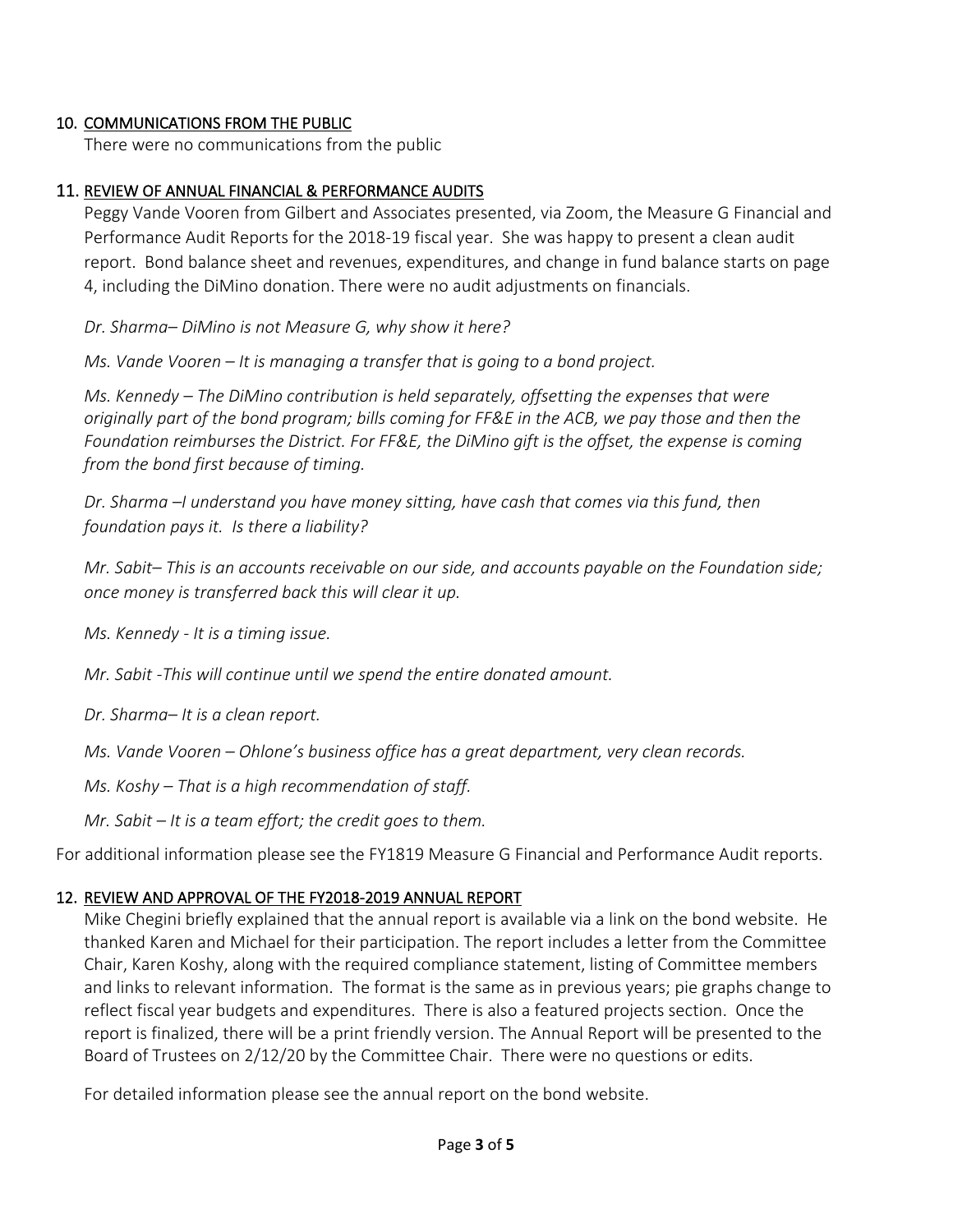#### 10. COMMUNICATIONS FROM THE PUBLIC

There were no communications from the public

#### 11. REVIEW OF ANNUAL FINANCIAL & PERFORMANCE AUDITS

Peggy Vande Vooren from Gilbert and Associates presented, via Zoom, the Measure G Financial and Performance Audit Reports for the 2018-19 fiscal year. She was happy to present a clean audit report. Bond balance sheet and revenues, expenditures, and change in fund balance starts on page 4, including the DiMino donation. There were no audit adjustments on financials.

*Dr. Sharma– DiMino is not Measure G, why show it here?*

*Ms. Vande Vooren – It is managing a transfer that is going to a bond project.*

*Ms. Kennedy – The DiMino contribution is held separately, offsetting the expenses that were originally part of the bond program; bills coming for FF&E in the ACB, we pay those and then the Foundation reimburses the District. For FF&E, the DiMino gift is the offset, the expense is coming from the bond first because of timing.*

*Dr. Sharma –I understand you have money sitting, have cash that comes via this fund, then foundation pays it. Is there a liability?*

*Mr. Sabit– This is an accounts receivable on our side, and accounts payable on the Foundation side; once money is transferred back this will clear it up.*

*Ms. Kennedy - It is a timing issue.*

*Mr. Sabit -This will continue until we spend the entire donated amount.*

*Dr. Sharma– It is a clean report.*

*Ms. Vande Vooren – Ohlone's business office has a great department, very clean records.*

*Ms. Koshy – That is a high recommendation of staff.*

*Mr. Sabit – It is a team effort; the credit goes to them.*

For additional information please see the FY1819 Measure G Financial and Performance Audit reports.

## 12. REVIEW AND APPROVAL OF THE FY2018-2019 ANNUAL REPORT

Mike Chegini briefly explained that the annual report is available via a link on the bond website. He thanked Karen and Michael for their participation. The report includes a letter from the Committee Chair, Karen Koshy, along with the required compliance statement, listing of Committee members and links to relevant information. The format is the same as in previous years; pie graphs change to reflect fiscal year budgets and expenditures. There is also a featured projects section. Once the report is finalized, there will be a print friendly version. The Annual Report will be presented to the Board of Trustees on 2/12/20 by the Committee Chair. There were no questions or edits.

For detailed information please see the annual report on the bond website.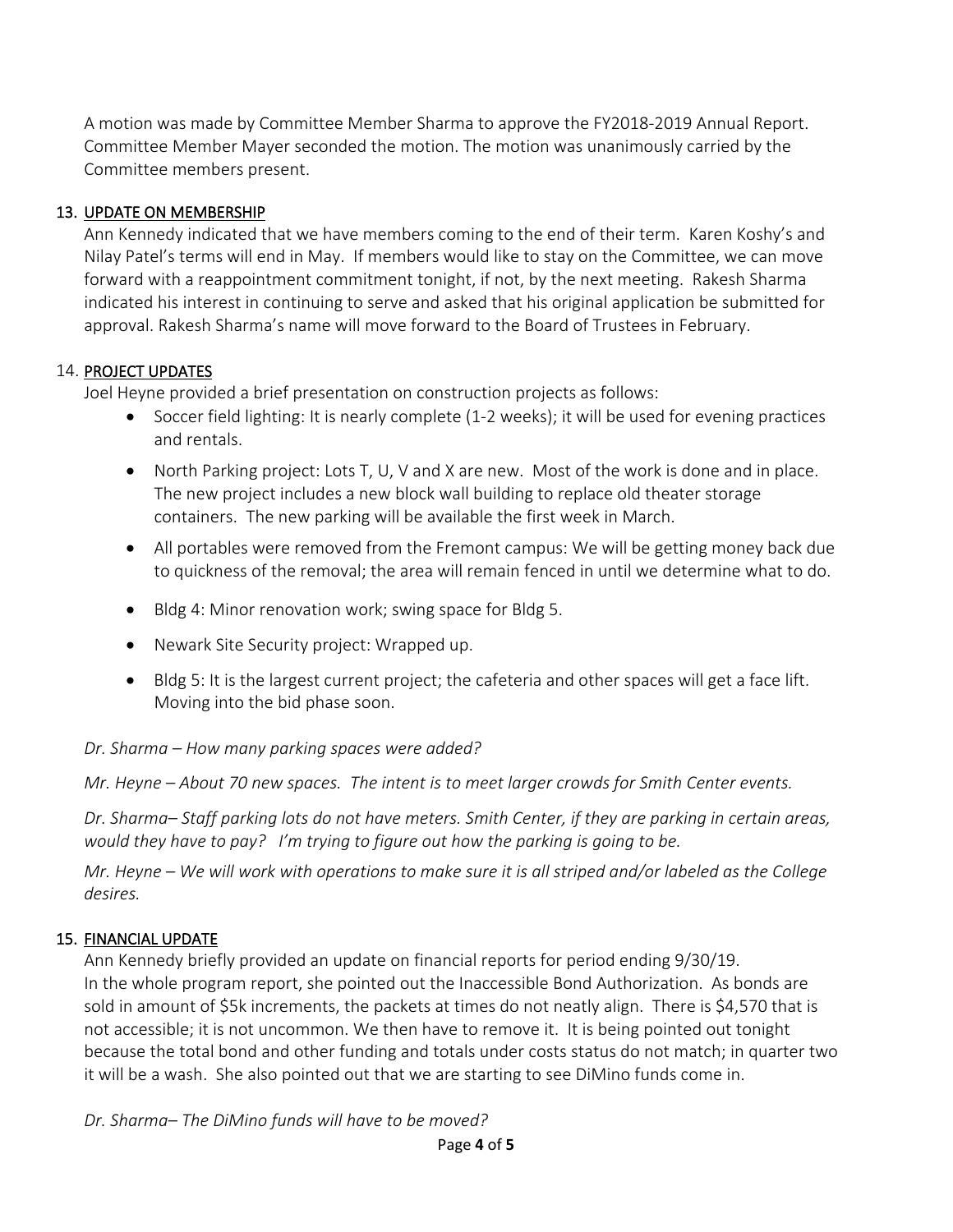A motion was made by Committee Member Sharma to approve the FY2018-2019 Annual Report. Committee Member Mayer seconded the motion. The motion was unanimously carried by the Committee members present.

# 13. UPDATE ON MEMBERSHIP

Ann Kennedy indicated that we have members coming to the end of their term. Karen Koshy's and Nilay Patel's terms will end in May. If members would like to stay on the Committee, we can move forward with a reappointment commitment tonight, if not, by the next meeting. Rakesh Sharma indicated his interest in continuing to serve and asked that his original application be submitted for approval. Rakesh Sharma's name will move forward to the Board of Trustees in February.

# 14. PROJECT UPDATES

Joel Heyne provided a brief presentation on construction projects as follows:

- Soccer field lighting: It is nearly complete (1-2 weeks); it will be used for evening practices and rentals.
- North Parking project: Lots T, U, V and X are new. Most of the work is done and in place. The new project includes a new block wall building to replace old theater storage containers. The new parking will be available the first week in March.
- All portables were removed from the Fremont campus: We will be getting money back due to quickness of the removal; the area will remain fenced in until we determine what to do.
- Bldg 4: Minor renovation work; swing space for Bldg 5.
- Newark Site Security project: Wrapped up.
- Bldg 5: It is the largest current project; the cafeteria and other spaces will get a face lift. Moving into the bid phase soon.

*Dr. Sharma – How many parking spaces were added?*

*Mr. Heyne – About 70 new spaces. The intent is to meet larger crowds for Smith Center events.*

*Dr. Sharma– Staff parking lots do not have meters. Smith Center, if they are parking in certain areas, would they have to pay? I'm trying to figure out how the parking is going to be.*

*Mr. Heyne – We will work with operations to make sure it is all striped and/or labeled as the College desires.*

# 15. FINANCIAL UPDATE

Ann Kennedy briefly provided an update on financial reports for period ending 9/30/19. In the whole program report, she pointed out the Inaccessible Bond Authorization. As bonds are sold in amount of \$5k increments, the packets at times do not neatly align. There is \$4,570 that is not accessible; it is not uncommon. We then have to remove it. It is being pointed out tonight because the total bond and other funding and totals under costs status do not match; in quarter two it will be a wash. She also pointed out that we are starting to see DiMino funds come in.

*Dr. Sharma– The DiMino funds will have to be moved?*